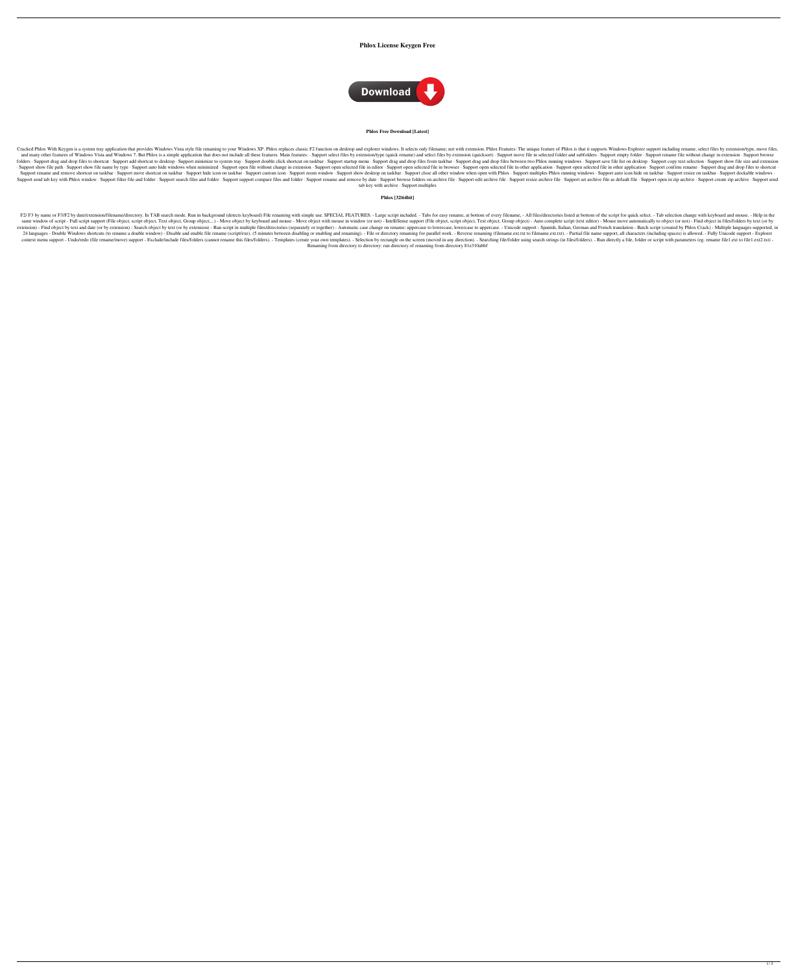# **Phlox License Keygen Free**



#### **Phlox Free Download [Latest]**

Cracked Phlox With Keygen is a system tray application that provides Windows Vista style file renaming to your Windows XP. Phlox replaces classic F2 function on desktop and explorer windows. It selects only filename; not w and many other features of Windows Vista and Windows 7. But Phlox is a simple application that does not include all these features. Main features: · Support select files by extension/type (quick rename) and selected folder folders · Support drag and drop files to shortcut · Support add shortcut to desktop · Support minimize to system tray · Support double click shortcut on taskbar · Support drag and drop files from taskbar · Support save fil · Support show file path · Support show file name by type · Support auto hide windows when minimized · Support open file without change in extension · Support open selected file in other application · Support confirm renam Support rename and remove shortcut on taskbar · Support move shortcut on taskbar · Support hide icon on taskbar · Support custom icon · Support zoom window · Support show desktop on taskbar · Support multiples Phlox runnin Support send tab key with Phlox window · Support filter file and folder · Support search files and folder · Support support compare files and folder · Support rename and remove by date · Support resize archive file · Suppo tab key with archive · Support multiples

F2/F3 by name or F3/F2 by date/extension/filename/directory. In TAB search mode. Run in background (detects keyboard) File renaming with simple use. SPECIAL FEATURES: - Large script included. - Tabs for easy rename, at bot same window of script - Full script support (File object, script object, Text object, Group object,...) - Move object by keyboard and mouse - Move object with mouse in window (or not) - IntelliSense support (File object, S extension) - Find object by text and date (or by extension) - Search object by text (or by extension) - Search object by text (or by extension) - Run script in multiple files/directories (separately or together) - Automati 24 languages - Double Windows shortcuts (to rename a double window) - Disable and enable file rename (script/exe). (5 minutes between disabling or enabling and renaming). - File or directory renaming for parallel work. - R context menu support - Undo/redo (file rename/move) support - Exclude/include files/folders (cannot rename this files/folders). - Templates (create your own templates). - Selection by rectangle on the screen (moved in any Renaming from directory to directory: run directory of renaming from directory 81e310abbf

## **Phlox [32|64bit]**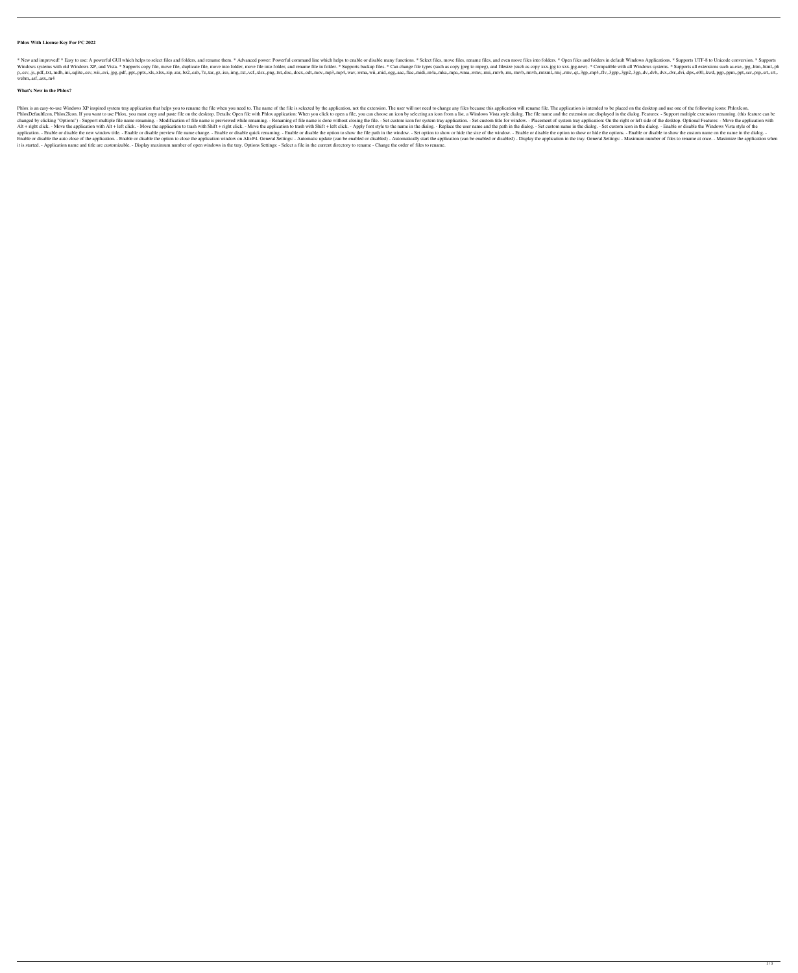### **Phlox With License Key For PC 2022**

\* New and improved! \* Easy to use: A powerful GUI which helps to select files and folders, and rename them. \* Advanced power: Powerful command line which helps to enable or disable many functions. \* Select files and folder Windows systems with old Windows XP, and Vista. \* Supports copy file, move file, duplicate file, move into folder, move into folder, and rename file in folder. \* Supports backup files. \* Can change file types (such as copy p.csv,.js,.pdf,.txt,.mdb,.ini,.sqlite,.csv,.wii,.avi,.jpg,.pdf,.exv,.xls,xlsx,.zip,.rar,.bz2,.cab,.7z,.tar,.gz,.iso,.img,.txt,.vcf,.xlsx,.png,.txt,.doc,.docx,.odt,mov,mp3,mp4,.wav,.wma,.wmv,rmi,.rmvb,rm,m,rmvb,rm,m,m,m,m,m webm,.asf,.asx,.m4

#### **What's New in the Phlox?**

Phlox is an easy-to-use Windows XP inspired system tray application that helps you to rename the file when you need to. The name of the file is selected by the application, not the extension. The user will not need to chan PhloxDefaultIcon, Phlox2Icon. If you want to use Phlox, you must copy and paste file on the desktop. Details: Open file with Phlox application: When you click to open a file, you can choose an icon by selecting an icon fro changed by clicking "Options") - Support multiple file name renaming. - Modification of file name is previewed while renaming. - Renaming of file name is done without closing the file. - Set custom title for window. - Plac Alt + right click. - Move the application with Alt + left click. - Move the application to trash with Shift + right click. - Move the application to trash with Shift + left click. - Apply font style to the name in the dial application. - Enable or disable the new window title. - Enable or disable preview file name change. - Enable or disable quick renaming. - Enable or disable the option to show the file path in the window. - Set option to s Enable or disable the auto close of the application. - Enable or disable the option to close the application window on Alt+F4. General Settings: - Automatic update (can be enabled or disabled) - Display the application in it is started. - Application name and title are customizable. - Display maximum number of open windows in the tray. Options Settings: - Select a file in the current directory to rename - Change the order of files to rename.